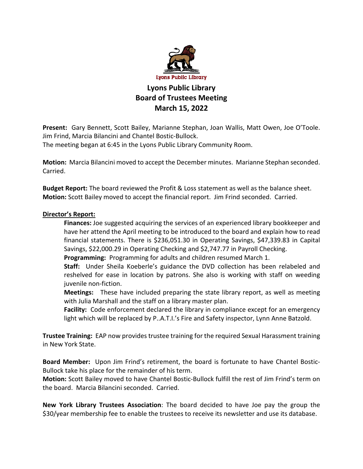

## **Lyons Public Library Board of Trustees Meeting March 15, 2022**

**Present:** Gary Bennett, Scott Bailey, Marianne Stephan, Joan Wallis, Matt Owen, Joe O'Toole. Jim Frind, Marcia Bilancini and Chantel Bostic-Bullock.

The meeting began at 6:45 in the Lyons Public Library Community Room.

**Motion:** Marcia Bilancini moved to accept the December minutes. Marianne Stephan seconded. Carried.

**Budget Report:** The board reviewed the Profit & Loss statement as well as the balance sheet. **Motion:** Scott Bailey moved to accept the financial report. Jim Frind seconded. Carried.

## **Director's Report:**

**Finances:** Joe suggested acquiring the services of an experienced library bookkeeper and have her attend the April meeting to be introduced to the board and explain how to read financial statements. There is \$236,051.30 in Operating Savings, \$47,339.83 in Capital Savings, \$22,000.29 in Operating Checking and \$2,747.77 in Payroll Checking.

**Programming:** Programming for adults and children resumed March 1.

**Staff:** Under Sheila Koeberle's guidance the DVD collection has been relabeled and reshelved for ease in location by patrons. She also is working with staff on weeding juvenile non-fiction.

**Meetings:** These have included preparing the state library report, as well as meeting with Julia Marshall and the staff on a library master plan.

**Facility:** Code enforcement declared the library in compliance except for an emergency light which will be replaced by P..A.T.I.'s Fire and Safety inspector, Lynn Anne Batzold.

**Trustee Training:** EAP now provides trustee training for the required Sexual Harassment training in New York State.

**Board Member:** Upon Jim Frind's retirement, the board is fortunate to have Chantel Bostic-Bullock take his place for the remainder of his term.

**Motion:** Scott Bailey moved to have Chantel Bostic-Bullock fulfill the rest of Jim Frind's term on the board. Marcia Bilancini seconded. Carried.

**New York Library Trustees Association**: The board decided to have Joe pay the group the \$30/year membership fee to enable the trustees to receive its newsletter and use its database.